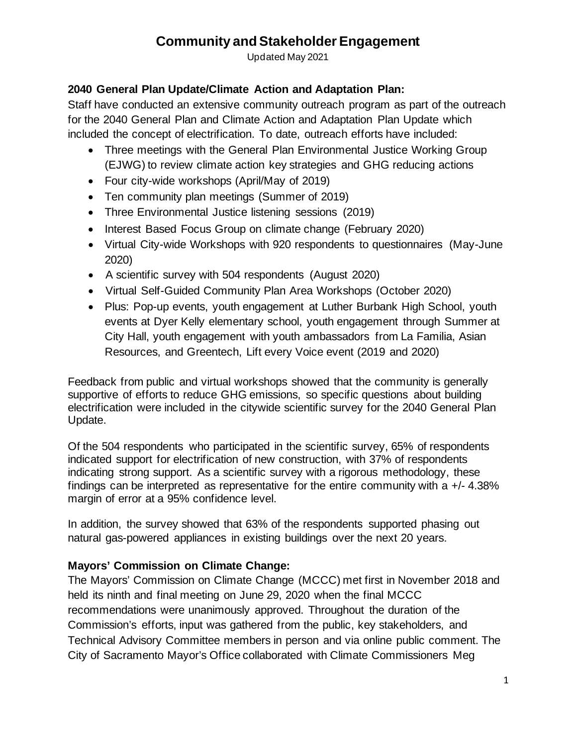Updated May 2021

#### **2040 General Plan Update/Climate Action and Adaptation Plan:**

Staff have conducted an extensive community outreach program as part of the outreach for the 2040 General Plan and Climate Action and Adaptation Plan Update which included the concept of electrification. To date, outreach efforts have included:

- Three meetings with the General Plan Environmental Justice Working Group (EJWG) to review climate action key strategies and GHG reducing actions
- Four city-wide workshops (April/May of 2019)
- Ten community plan meetings (Summer of 2019)
- Three Environmental Justice listening sessions (2019)
- Interest Based Focus Group on climate change (February 2020)
- Virtual City-wide Workshops with 920 respondents to questionnaires (May-June 2020)
- A scientific survey with 504 respondents (August 2020)
- Virtual Self-Guided Community Plan Area Workshops (October 2020)
- Plus: Pop-up events, youth engagement at Luther Burbank High School, youth events at Dyer Kelly elementary school, youth engagement through Summer at City Hall, youth engagement with youth ambassadors from La Familia, Asian Resources, and Greentech, Lift every Voice event (2019 and 2020)

Feedback from public and virtual workshops showed that the community is generally supportive of efforts to reduce GHG emissions, so specific questions about building electrification were included in the citywide scientific survey for the 2040 General Plan Update.

Of the 504 respondents who participated in the scientific survey, 65% of respondents indicated support for electrification of new construction, with 37% of respondents indicating strong support. As a scientific survey with a rigorous methodology, these findings can be interpreted as representative for the entire community with a  $+/- 4.38\%$ margin of error at a 95% confidence level.

In addition, the survey showed that 63% of the respondents supported phasing out natural gas-powered appliances in existing buildings over the next 20 years.

#### **Mayors' Commission on Climate Change:**

The Mayors' Commission on Climate Change (MCCC) met first in November 2018 and held its ninth and final meeting on June 29, 2020 when the final MCCC recommendations were unanimously approved. Throughout the duration of the Commission's efforts, input was gathered from the public, key stakeholders, and Technical Advisory Committee members in person and via online public comment. The City of Sacramento Mayor's Office collaborated with Climate Commissioners Meg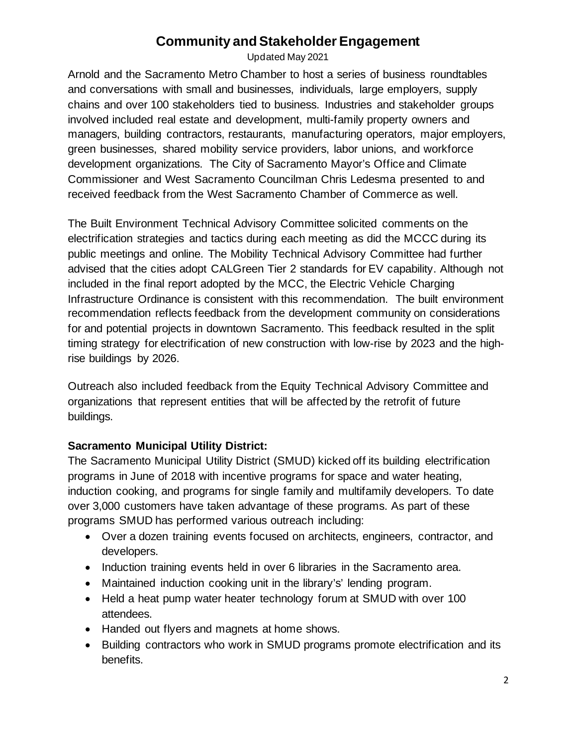Updated May 2021

Arnold and the Sacramento Metro Chamber to host a series of business roundtables and conversations with small and businesses, individuals, large employers, supply chains and over 100 stakeholders tied to business. Industries and stakeholder groups involved included real estate and development, multi-family property owners and managers, building contractors, restaurants, manufacturing operators, major employers, green businesses, shared mobility service providers, labor unions, and workforce development organizations. The City of Sacramento Mayor's Office and Climate Commissioner and West Sacramento Councilman Chris Ledesma presented to and received feedback from the West Sacramento Chamber of Commerce as well.

The Built Environment Technical Advisory Committee solicited comments on the electrification strategies and tactics during each meeting as did the MCCC during its public meetings and online. The Mobility Technical Advisory Committee had further advised that the cities adopt CALGreen Tier 2 standards for EV capability. Although not included in the final report adopted by the MCC, the Electric Vehicle Charging Infrastructure Ordinance is consistent with this recommendation. The built environment recommendation reflects feedback from the development community on considerations for and potential projects in downtown Sacramento. This feedback resulted in the split timing strategy for electrification of new construction with low-rise by 2023 and the highrise buildings by 2026.

Outreach also included feedback from the Equity Technical Advisory Committee and organizations that represent entities that will be affected by the retrofit of future buildings.

#### **Sacramento Municipal Utility District:**

The Sacramento Municipal Utility District (SMUD) kicked off its building electrification programs in June of 2018 with incentive programs for space and water heating, induction cooking, and programs for single family and multifamily developers. To date over 3,000 customers have taken advantage of these programs. As part of these programs SMUD has performed various outreach including:

- Over a dozen training events focused on architects, engineers, contractor, and developers.
- Induction training events held in over 6 libraries in the Sacramento area.
- Maintained induction cooking unit in the library's' lending program.
- Held a heat pump water heater technology forum at SMUD with over 100 attendees.
- Handed out flyers and magnets at home shows.
- Building contractors who work in SMUD programs promote electrification and its benefits.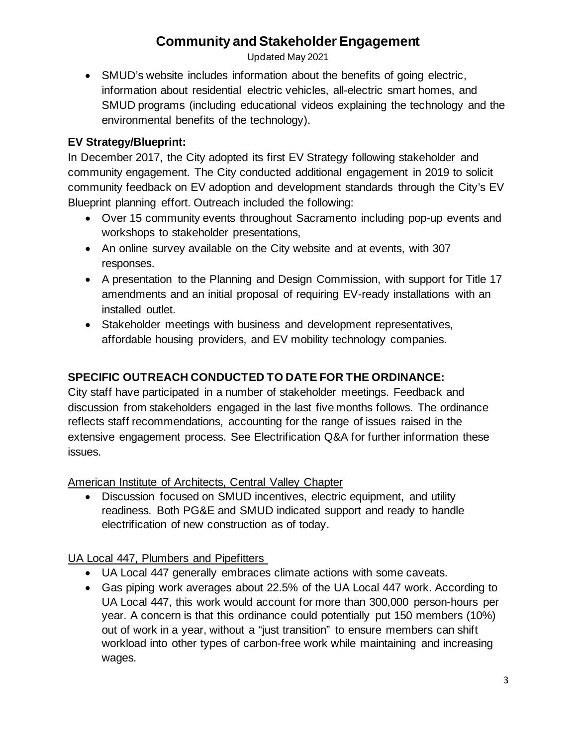Updated May 2021

• SMUD's website includes information about the benefits of going electric, information about residential electric vehicles, all-electric smart homes, and SMUD programs (including educational videos explaining the technology and the environmental benefits of the technology).

#### **EV Strategy/Blueprint:**

In December 2017, the City adopted its first EV Strategy following stakeholder and community engagement. The City conducted additional engagement in 2019 to solicit community feedback on EV adoption and development standards through the City's EV Blueprint planning effort. Outreach included the following:

- Over 15 community events throughout Sacramento including pop-up events and workshops to stakeholder presentations,
- An online survey available on the City website and at events, with 307 responses.
- A presentation to the Planning and Design Commission, with support for Title 17 amendments and an initial proposal of requiring EV-ready installations with an installed outlet.
- Stakeholder meetings with business and development representatives, affordable housing providers, and EV mobility technology companies.

## **SPECIFIC OUTREACH CONDUCTED TO DATE FOR THE ORDINANCE:**

City staff have participated in a number of stakeholder meetings. Feedback and discussion from stakeholders engaged in the last five months follows. The ordinance reflects staff recommendations, accounting for the range of issues raised in the extensive engagement process. See Electrification Q&A for further information these issues.

American Institute of Architects, Central Valley Chapter

• Discussion focused on SMUD incentives, electric equipment, and utility readiness. Both PG&E and SMUD indicated support and ready to handle electrification of new construction as of today.

## UA Local 447, Plumbers and Pipefitters

- UA Local 447 generally embraces climate actions with some caveats.
- Gas piping work averages about 22.5% of the UA Local 447 work. According to UA Local 447, this work would account for more than 300,000 person-hours per year. A concern is that this ordinance could potentially put 150 members (10%) out of work in a year, without a "just transition" to ensure members can shift workload into other types of carbon-free work while maintaining and increasing wages.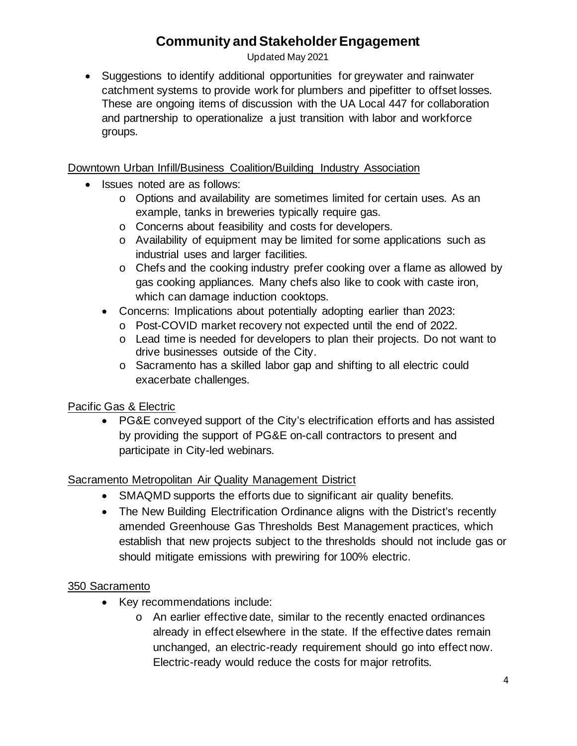Updated May 2021

• Suggestions to identify additional opportunities for greywater and rainwater catchment systems to provide work for plumbers and pipefitter to offset losses. These are ongoing items of discussion with the UA Local 447 for collaboration and partnership to operationalize a just transition with labor and workforce groups.

#### Downtown Urban Infill/Business Coalition/Building Industry Association

- Issues noted are as follows:
	- o Options and availability are sometimes limited for certain uses. As an example, tanks in breweries typically require gas.
	- o Concerns about feasibility and costs for developers.
	- o Availability of equipment may be limited for some applications such as industrial uses and larger facilities.
	- o Chefs and the cooking industry prefer cooking over a flame as allowed by gas cooking appliances. Many chefs also like to cook with caste iron, which can damage induction cooktops.
	- Concerns: Implications about potentially adopting earlier than 2023:
		- o Post-COVID market recovery not expected until the end of 2022.
		- $\circ$  Lead time is needed for developers to plan their projects. Do not want to drive businesses outside of the City.
		- o Sacramento has a skilled labor gap and shifting to all electric could exacerbate challenges.

#### Pacific Gas & Electric

• PG&E conveyed support of the City's electrification efforts and has assisted by providing the support of PG&E on-call contractors to present and participate in City-led webinars.

#### Sacramento Metropolitan Air Quality Management District

- SMAQMD supports the efforts due to significant air quality benefits.
- The New Building Electrification Ordinance aligns with the District's recently amended Greenhouse Gas Thresholds Best Management practices, which establish that new projects subject to the thresholds should not include gas or should mitigate emissions with prewiring for 100% electric.

#### 350 Sacramento

- Key recommendations include:
	- o An earlier effective date, similar to the recently enacted ordinances already in effect elsewhere in the state. If the effective dates remain unchanged, an electric-ready requirement should go into effect now. Electric-ready would reduce the costs for major retrofits.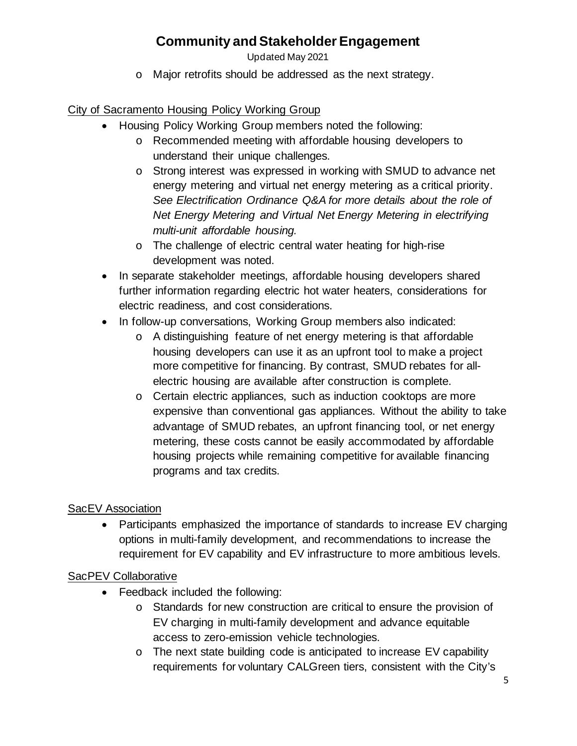Updated May 2021

o Major retrofits should be addressed as the next strategy.

City of Sacramento Housing Policy Working Group

- Housing Policy Working Group members noted the following:
	- o Recommended meeting with affordable housing developers to understand their unique challenges.
	- o Strong interest was expressed in working with SMUD to advance net energy metering and virtual net energy metering as a critical priority. *See Electrification Ordinance Q&A for more details about the role of Net Energy Metering and Virtual Net Energy Metering in electrifying multi-unit affordable housing.*
	- o The challenge of electric central water heating for high-rise development was noted.
- In separate stakeholder meetings, affordable housing developers shared further information regarding electric hot water heaters, considerations for electric readiness, and cost considerations.
- In follow-up conversations, Working Group members also indicated:
	- o A distinguishing feature of net energy metering is that affordable housing developers can use it as an upfront tool to make a project more competitive for financing. By contrast, SMUD rebates for allelectric housing are available after construction is complete.
	- o Certain electric appliances, such as induction cooktops are more expensive than conventional gas appliances. Without the ability to take advantage of SMUD rebates, an upfront financing tool, or net energy metering, these costs cannot be easily accommodated by affordable housing projects while remaining competitive for available financing programs and tax credits.

## **SacEV Association**

• Participants emphasized the importance of standards to increase EV charging options in multi-family development, and recommendations to increase the requirement for EV capability and EV infrastructure to more ambitious levels.

## SacPEV Collaborative

- Feedback included the following:
	- o Standards for new construction are critical to ensure the provision of EV charging in multi-family development and advance equitable access to zero-emission vehicle technologies.
	- o The next state building code is anticipated to increase EV capability requirements for voluntary CALGreen tiers, consistent with the City's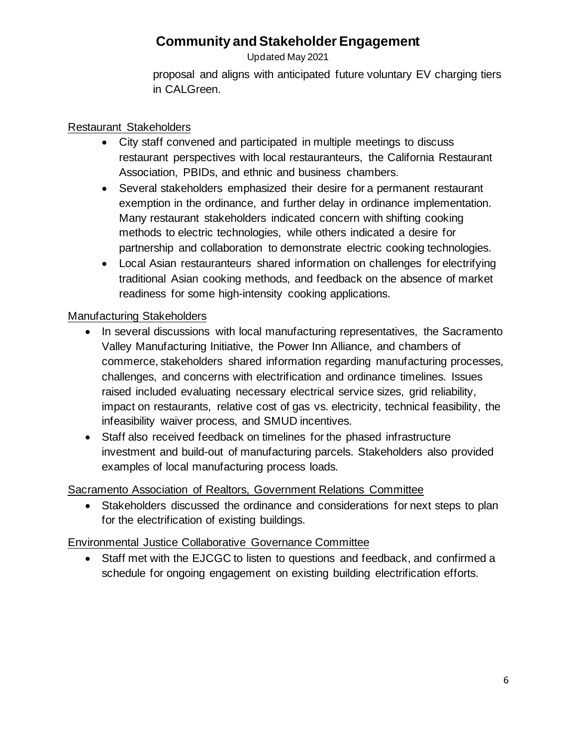Updated May 2021

proposal and aligns with anticipated future voluntary EV charging tiers in CALGreen.

#### Restaurant Stakeholders

- City staff convened and participated in multiple meetings to discuss restaurant perspectives with local restauranteurs, the California Restaurant Association, PBIDs, and ethnic and business chambers.
- Several stakeholders emphasized their desire for a permanent restaurant exemption in the ordinance, and further delay in ordinance implementation. Many restaurant stakeholders indicated concern with shifting cooking methods to electric technologies, while others indicated a desire for partnership and collaboration to demonstrate electric cooking technologies.
- Local Asian restauranteurs shared information on challenges for electrifying traditional Asian cooking methods, and feedback on the absence of market readiness for some high-intensity cooking applications.

## Manufacturing Stakeholders

- In several discussions with local manufacturing representatives, the Sacramento Valley Manufacturing Initiative, the Power Inn Alliance, and chambers of commerce, stakeholders shared information regarding manufacturing processes, challenges, and concerns with electrification and ordinance timelines. Issues raised included evaluating necessary electrical service sizes, grid reliability, impact on restaurants, relative cost of gas vs. electricity, technical feasibility, the infeasibility waiver process, and SMUD incentives.
- Staff also received feedback on timelines for the phased infrastructure investment and build-out of manufacturing parcels. Stakeholders also provided examples of local manufacturing process loads.

#### Sacramento Association of Realtors, Government Relations Committee

• Stakeholders discussed the ordinance and considerations for next steps to plan for the electrification of existing buildings.

## Environmental Justice Collaborative Governance Committee

• Staff met with the EJCGC to listen to questions and feedback, and confirmed a schedule for ongoing engagement on existing building electrification efforts.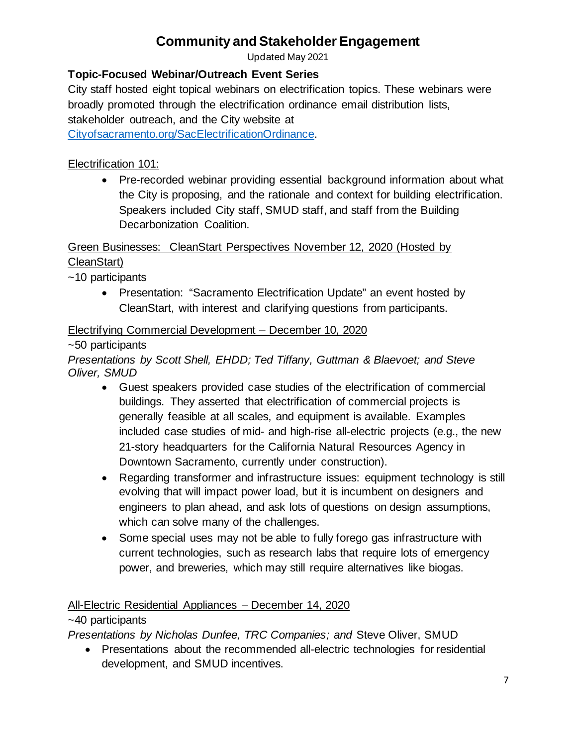Updated May 2021

## **Topic-Focused Webinar/Outreach Event Series**

City staff hosted eight topical webinars on electrification topics. These webinars were broadly promoted through the electrification ordinance email distribution lists, stakeholder outreach, and the City website at

[Cityofsacramento.org/SacElectrificationOrdinance.](http://www.cityofsacramento.org/SacElectrificationOrdinance)

#### Electrification 101:

• Pre-recorded webinar providing essential background information about what the City is proposing, and the rationale and context for building electrification. Speakers included City staff, SMUD staff, and staff from the Building Decarbonization Coalition.

Green Businesses: CleanStart Perspectives November 12, 2020 (Hosted by CleanStart)

~10 participants

• Presentation: "Sacramento Electrification Update" an event hosted by CleanStart, with interest and clarifying questions from participants.

#### Electrifying Commercial Development – December 10, 2020

~50 participants

*Presentations by Scott Shell, EHDD; Ted Tiffany, Guttman & Blaevoet; and Steve Oliver, SMUD*

- Guest speakers provided case studies of the electrification of commercial buildings. They asserted that electrification of commercial projects is generally feasible at all scales, and equipment is available. Examples included case studies of mid- and high-rise all-electric projects (e.g., the new 21-story headquarters for the California Natural Resources Agency in Downtown Sacramento, currently under construction).
- Regarding transformer and infrastructure issues: equipment technology is still evolving that will impact power load, but it is incumbent on designers and engineers to plan ahead, and ask lots of questions on design assumptions, which can solve many of the challenges.
- Some special uses may not be able to fully forego gas infrastructure with current technologies, such as research labs that require lots of emergency power, and breweries, which may still require alternatives like biogas.

#### All-Electric Residential Appliances – December 14, 2020

#### ~40 participants

*Presentations by Nicholas Dunfee, TRC Companies; and* Steve Oliver, SMUD

• Presentations about the recommended all-electric technologies for residential development, and SMUD incentives.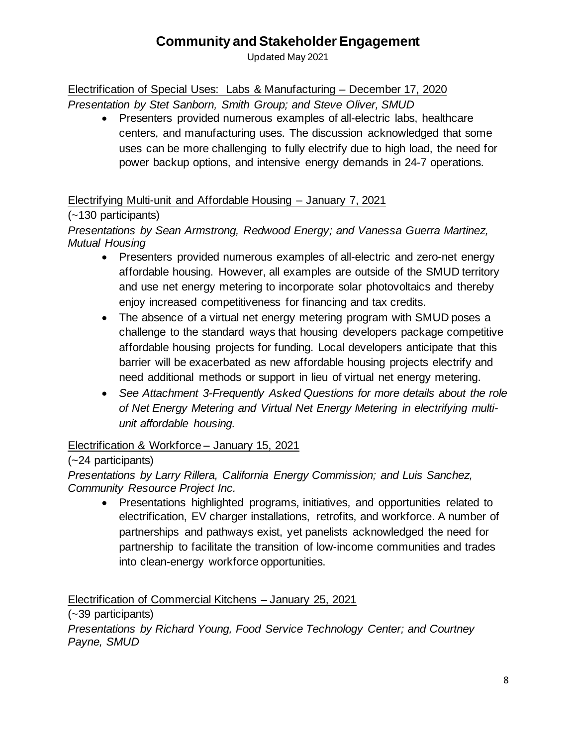Updated May 2021

## Electrification of Special Uses: Labs & Manufacturing – December 17, 2020

*Presentation by Stet Sanborn, Smith Group; and Steve Oliver, SMUD* 

• Presenters provided numerous examples of all-electric labs, healthcare centers, and manufacturing uses. The discussion acknowledged that some uses can be more challenging to fully electrify due to high load, the need for power backup options, and intensive energy demands in 24-7 operations.

#### Electrifying Multi-unit and Affordable Housing – January 7, 2021

## (~130 participants)

*Presentations by Sean Armstrong, Redwood Energy; and Vanessa Guerra Martinez, Mutual Housing*

- Presenters provided numerous examples of all-electric and zero-net energy affordable housing. However, all examples are outside of the SMUD territory and use net energy metering to incorporate solar photovoltaics and thereby enjoy increased competitiveness for financing and tax credits.
- The absence of a virtual net energy metering program with SMUD poses a challenge to the standard ways that housing developers package competitive affordable housing projects for funding. Local developers anticipate that this barrier will be exacerbated as new affordable housing projects electrify and need additional methods or support in lieu of virtual net energy metering.
- *See Attachment 3-Frequently Asked Questions for more details about the role of Net Energy Metering and Virtual Net Energy Metering in electrifying multiunit affordable housing.*

## Electrification & Workforce – January 15, 2021

## (~24 participants)

*Presentations by Larry Rillera, California Energy Commission; and Luis Sanchez, Community Resource Project Inc.*

• Presentations highlighted programs, initiatives, and opportunities related to electrification, EV charger installations, retrofits, and workforce. A number of partnerships and pathways exist, yet panelists acknowledged the need for partnership to facilitate the transition of low-income communities and trades into clean-energy workforce opportunities.

Electrification of Commercial Kitchens – January 25, 2021

(~39 participants)

*Presentations by Richard Young, Food Service Technology Center; and Courtney Payne, SMUD*